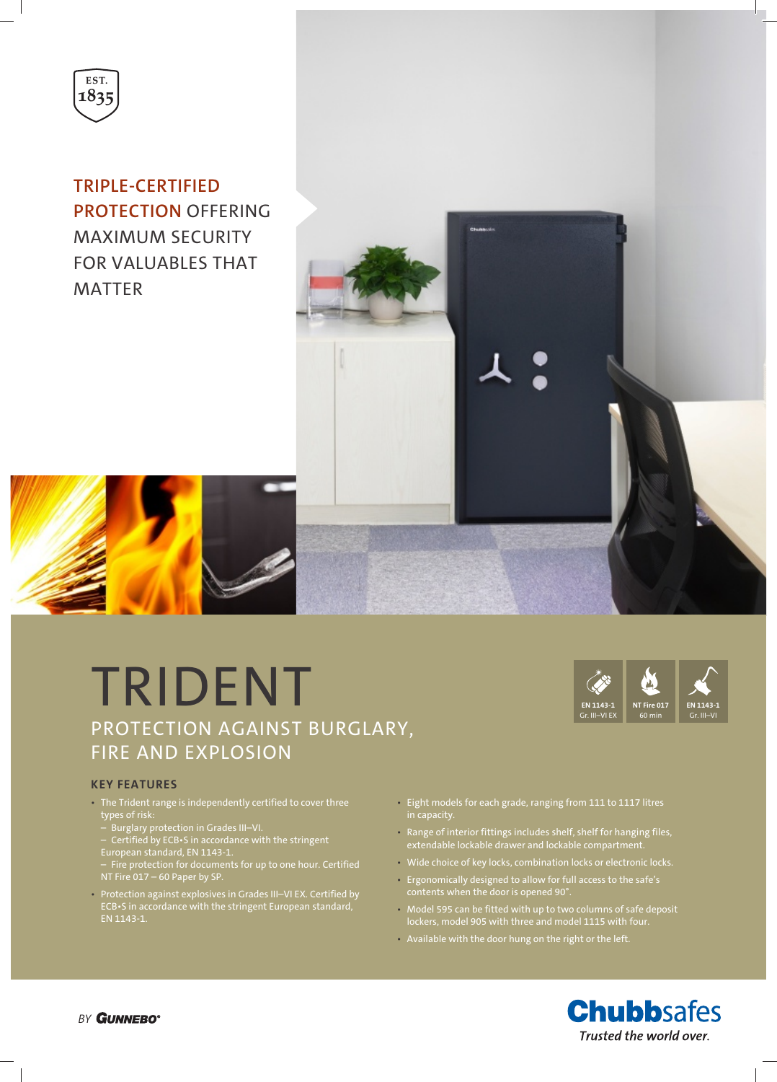

**TRIPLE-CERTIFIED PROTECTION** OFFERING MAXIMUM SECURITY FOR VALUABLES THAT MATTER



# **KEY FEATURES**

- The Trident range is independently certified to cover three types of risk:
- Burglary protection in Grades III–VI.
- Certified by ECB•S in accordance with the stringent European standard, EN 1143-1.
- Fire protection for documents for up to one hour. Certified NT Fire 017 – 60 Paper by SP.
- Protection against explosives in Grades III–VI EX. Certified by ECB•S in accordance with the stringent European standard, EN 1143-1.
- Eight models for each grade, ranging from 111 to 1117 litres in capacity.
- Range of interior fittings includes shelf, shelf for hanging files, extendable lockable drawer and lockable compartment.
- Wide choice of key locks, combination locks or electronic locks.
- Ergonomically designed to allow for full access to the safe's contents when the door is opened 90°.
- Model 595 can be fitted with up to two columns of safe deposit lockers, model 905 with three and model 1115 with four.
- Available with the door hung on the right or the left.



**EN 1143-1** Gr. III–VI

**NT Fire 017** 60 min

**EN 1143-1** Gr. III–VI EX